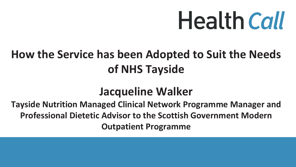# **Health Call**

# **How the Service has been Adopted to Suit the Needs of NHS Tayside**

# **Jacqueline Walker**

**Tayside Nutrition Managed Clinical Network Programme Manager and Professional Dietetic Advisor to the Scottish Government Modern Outpatient Programme**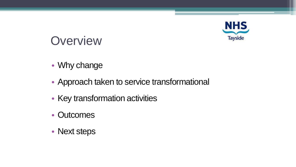

# **Overview**

- Why change
- Approach taken to service transformational
- Key transformation activities
- Outcomes
- Next steps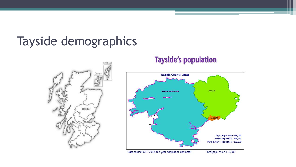# Tayside demographics



#### **Tayside's population**

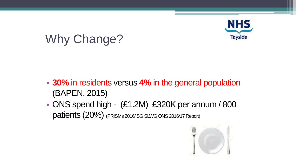

# Why Change?

- **30%** in residents versus **4%** in the general population (BAPEN, 2015)
- ONS spend high (£1.2M) £320K per annum / 800 patients (20%) (PRISMs 2016/ SG SLWG ONS 2016/17 Report)

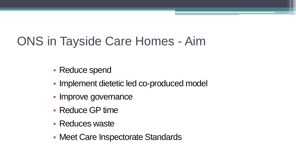# ONS in Tayside Care Homes - Aim

- Reduce spend
- Implement dietetic led co-produced model
- Improve governance
- Reduce GP time
- Reduces waste
- Meet Care Inspectorate Standards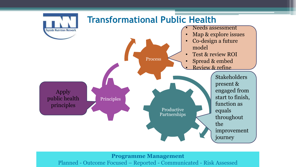

**Programme Management** Planned - Outcome Focused – Reported - Communicated - Risk Assessed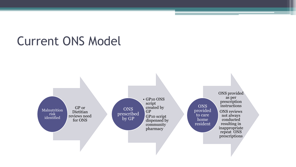### Current ONS Model

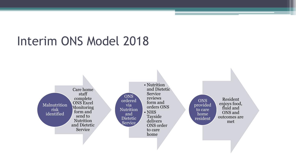## Interim ONS Model 2018

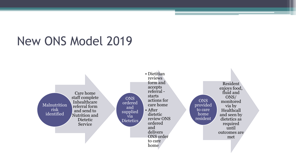# New ONS Model 2019

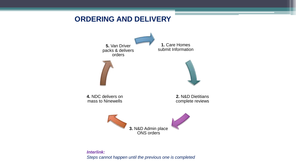#### **ORDERING AND DELIVERY**



*Interlink: Steps cannot happen until the previous one is completed*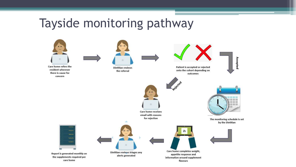#### Tayside monitoring pathway

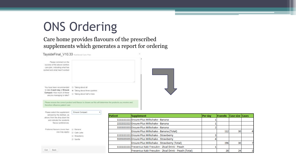# ONS Ordering

#### Care home provides flavours of the prescribed supplements which generates a report for ordering

| care plan, indicating what has<br>worked and what hasn't worked                                                     |                                                                              |  |
|---------------------------------------------------------------------------------------------------------------------|------------------------------------------------------------------------------|--|
| You have been recommended<br>to take 2 each day of Ensure<br>Compact How much of these<br>are you managing to take? | Taking about all<br>Taking about three quarters<br>Taking about half or less |  |

Please select the supplement Ensure Compact advised by the dietitian, as above, from the drop down list and indicate the residents flavour preferences. Preferred flavours (more than III Banana one may apply) (i) Cafe Latte Ell Strawberry El Vanilla

Ext Back

| <b>Patient</b> | <b>Supplement</b>                                         | Per day | l4 weeks | Case size  Cases |  |
|----------------|-----------------------------------------------------------|---------|----------|------------------|--|
|                | 11111111111 Ensure Plus Milkshake - Banana                |         |          |                  |  |
|                | 2222222222 Ensure Plus Milkshake - Banana                 |         |          |                  |  |
|                | 3333333333 Ensure Plus Milkshake - Banana                 |         |          |                  |  |
|                | Ensure Plus Milkshake - Banana (Total)                    |         | 112      | 30               |  |
|                | 11111111111 Ensure Plus Milkshake - Strawberry            |         |          |                  |  |
|                | 55555555555 Ensure Plus Milkshake - Strawberry            |         |          |                  |  |
|                | Ensure Plus Milkshake - Strawberry (Total)                |         | 196      | 30               |  |
|                | 11111111111 Fresenius Kabi Fresubin - 2kcal Drink - Peach |         |          |                  |  |
|                | Fresenius Kabi Fresubin - 2kcal Drink - Peach (Total)     |         | 28       | 241              |  |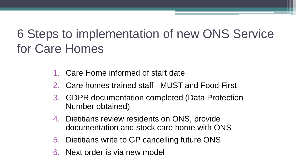# 6 Steps to implementation of new ONS Service for Care Homes

- 1. Care Home informed of start date
- 2. Care homes trained staff –MUST and Food First
- 3. GDPR documentation completed (Data Protection Number obtained)
- 4. Dietitians review residents on ONS, provide documentation and stock care home with ONS
- 5. Dietitians write to GP cancelling future ONS
- 6. Next order is via new model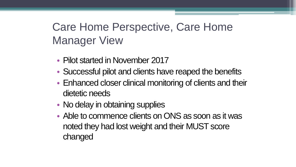#### Care Home Perspective, Care Home Manager View

- Pilot started in November 2017
- Successful pilot and clients have reaped the benefits
- Enhanced closer clinical monitoring of clients and their dietetic needs
- No delay in obtaining supplies
- Able to commence clients on ONS as soon as it was noted they had lost weight and their MUST score changed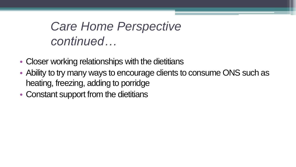## *Care Home Perspective continued…*

- Closer working relationships with the dietitians
- Ability to try many ways to encourage clients to consume ONS such as heating, freezing, adding to porridge
- Constant support from the dietitians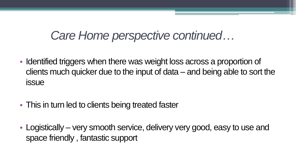## *Care Home perspective continued…*

- Identified triggers when there was weight loss across a proportion of clients much quicker due to the input of data – and being able to sort the issue
- This in turn led to clients being treated faster
- Logistically very smooth service, delivery very good, easy to use and space friendly , fantastic support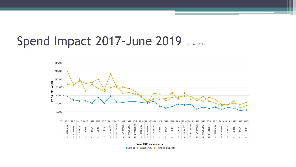## Spend Impact 2017-June 2019 (PRISM Data)



Presc HSCP Name - current

● Angus ● Dundee City ● Perth and Kinross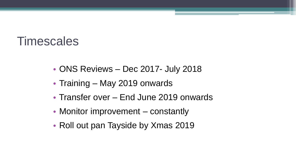#### **Timescales**

- ONS Reviews Dec 2017- July 2018
- Training May 2019 onwards
- Transfer over End June 2019 onwards
- Monitor improvement constantly
- Roll out pan Tayside by Xmas 2019